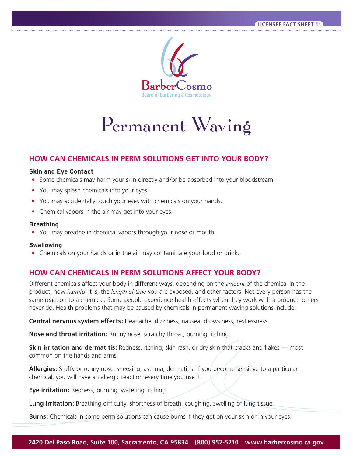

# Permanent Waving

# **HOW CAN CHEMICALS IN PERM SOLUTIONS GET INTO YOUR BODY?**

#### **Skin and Eye Contact**

- Some chemicals may harm your skin directly and/or be absorbed into your bloodstream.
- **•** You may splash chemicals into your eyes.
- **•** You may accidentally touch your eyes with chemicals on your hands.
- **•** Chemical vapors in the air may get into your eyes.

#### **Breathing**

**•** You may breathe in chemical vapors through your nose or mouth.

#### **Swallowing**

**•** Chemicals on your hands or in the air may contaminate your food or drink.

# **HOW CAN CHEMICALS IN PERM SOLUTIONS AFFECT YOUR BODY?**

Different chemicals affect your body in different ways, depending on the *amount* of the chemical in the product, how *harmfu*l it is, the *length of time* you are exposed, and other factors. Not every person has the same reaction to a chemical. Some people experience health effects when they work with a product, others never do. Health problems that may be caused by chemicals in permanent waving solutions include:

**Central nervous system effects:** Headache, dizziness, nausea, drowsiness, restlessness.

**Nose and throat irritation:** Runny nose, scratchy throat, burning, itching.

**Skin irritation and dermatitis:** Redness, itching, skin rash, or dry skin that cracks and flakes — most common on the hands and arms.

**Allergies:** Stuffy or runny nose, sneezing, asthma, dermatitis. If you become sensitive to a particular chemical, you will have an allergic reaction every time you use it.

**Eye irritation:** Redness, burning, watering, itching.

**Lung irritation:** Breathing difficulty, shortness of breath, coughing, swelling of lung tissue.

**Burns:** Chemicals in some perm solutions can cause burns if they get on your skin or in your eyes.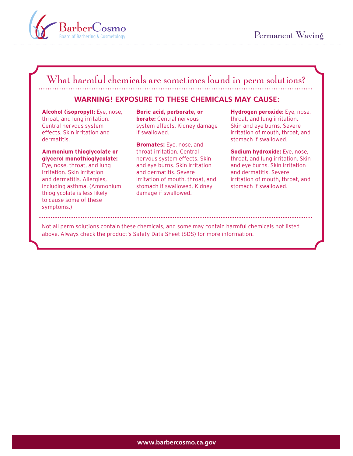

# What harmful chemicals are sometimes found in perm solutions?

### **WARNING! EXPOSURE TO THESE CHEMICALS MAY CAUSE:**

**Alcohol (isopropyl):** Eye, nose, throat, and lung irritation. Central nervous system effects. Skin irritation and dermatitis.

#### **Ammonium thioglycolate or glycerol monothioglycolate:**

Eye, nose, throat, and lung irritation. Skin irritation and dermatitis. Allergies, including asthma. (Ammonium thioglycolate is less likely to cause some of these symptoms.)

**Boric acid, perborate, or borate:** Central nervous system effects. Kidney damage if swallowed.

**Bromates:** Eye, nose, and throat irritation. Central nervous system effects. Skin and eye burns. Skin irritation and dermatitis. Severe irritation of mouth, throat, and stomach if swallowed. Kidney damage if swallowed.

**Hydrogen peroxide:** Eye, nose, throat, and lung irritation. Skin and eye burns. Severe irritation of mouth, throat, and stomach if swallowed.

#### **Sodium hydroxide:** Eye, nose, throat, and lung irritation. Skin and eye burns. Skin irritation and dermatitis. Severe irritation of mouth, throat, and stomach if swallowed.

Not all perm solutions contain these chemicals, and some may contain harmful chemicals not listed above. Always check the product's Safety Data Sheet (SDS) for more information.